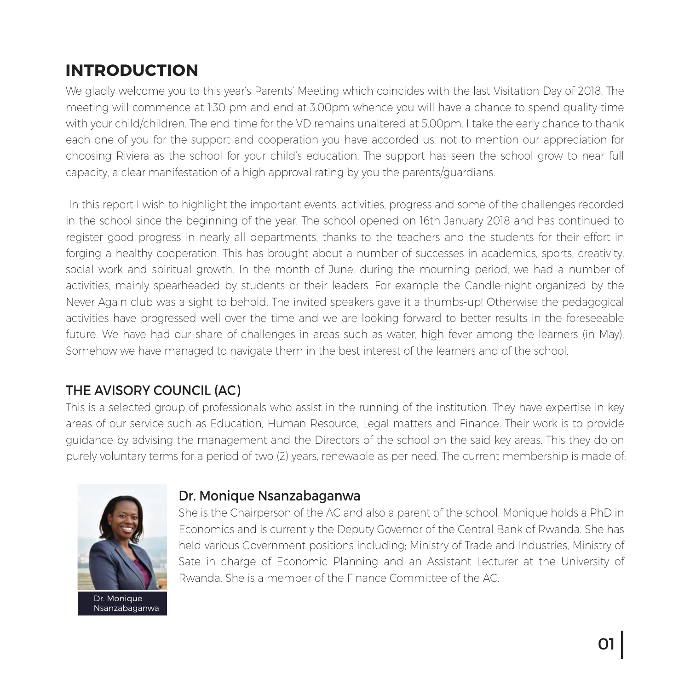# **INTRODUCTION**

We gladly welcome you to this year's Parents' Meeting which coincides with the last Visitation Day of 2018. The meeting will commence at 1.30 pm and end at 3.00pm whence you will have a chance to spend quality time with your child/children. The end-time for the VD remains unaltered at 5.00pm. I take the early chance to thank each one of you for the support and cooperation you have accorded us, not to mention our appreciation for choosing Riviera as the school for your child's education. The support has seen the school grow to near full capacity, a clear manifestation of a high approval rating by you the parents/guardians.

 In this report I wish to highlight the important events, activities, progress and some of the challenges recorded in the school since the beginning of the year. The school opened on 16th January 2018 and has continued to register good progress in nearly all departments, thanks to the teachers and the students for their effort in forging a healthy cooperation. This has brought about a number of successes in academics, sports, creativity, social work and spiritual growth. In the month of June, during the mourning period, we had a number of activities, mainly spearheaded by students or their leaders. For example the Candle-night organized by the Never Again club was a sight to behold. The invited speakers gave it a thumbs-up! Otherwise the pedagogical activities have progressed well over the time and we are looking forward to better results in the foreseeable future. We have had our share of challenges in areas such as water, high fever among the learners (in May). Somehow we have managed to navigate them in the best interest of the learners and of the school.

#### THE AVISORY COUNCIL (AC)

This is a selected group of professionals who assist in the running of the institution. They have expertise in key areas of our service such as Education, Human Resource, Legal matters and Finance. Their work is to provide guidance by advising the management and the Directors of the school on the said key areas. This they do on purely voluntary terms for a period of two (2) years, renewable as per need. The current membership is made of;



Dr. Monique Nsanzabaganwa

#### Dr. Monique Nsanzabaganwa

She is the Chairperson of the AC and also a parent of the school. Monique holds a PhD in Economics and is currently the Deputy Governor of the Central Bank of Rwanda. She has held various Government positions including; Ministry of Trade and Industries, Ministry of Sate in charge of Economic Planning and an Assistant Lecturer at the University of Rwanda. She is a member of the Finance Committee of the AC.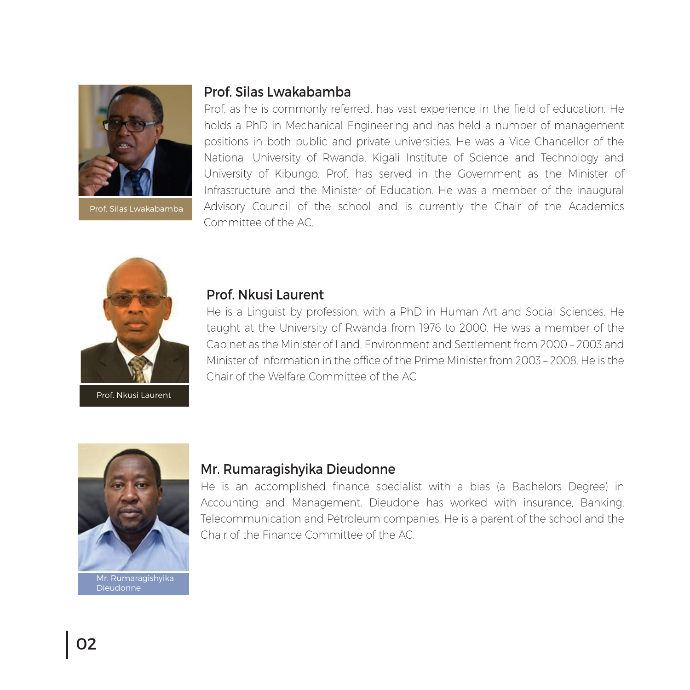

Prof. Silas Lwakabamba

#### Prof. Silas Lwakabamba

Prof, as he is commonly referred, has vast experience in the field of education. He holds a PhD in Mechanical Engineering and has held a number of management positions in both public and private universities. He was a Vice Chancellor of the National University of Rwanda, Kigali Institute of Science and Technology and University of Kibungo. Prof. has served in the Government as the Minister of Infrastructure and the Minister of Education. He was a member of the inaugural Advisory Council of the school and is currently the Chair of the Academics Committee of the AC.



Prof. Nkusi Laurent

#### Prof. Nkusi Laurent

He is a Linguist by profession, with a PhD in Human Art and Social Sciences. He taught at the University of Rwanda from 1976 to 2000. He was a member of the Cabinet as the Minister of Land, Environment and Settlement from 2000 – 2003 and Minister of Information in the office of the Prime Minister from 2003 – 2008. He is the Chair of the Welfare Committee of the AC



Mr. Rumaragishyika Dieudonne

#### Mr. Rumaragishyika Dieudonne

He is an accomplished finance specialist with a bias (a Bachelors Degree) in Accounting and Management. Dieudone has worked with insurance, Banking, Telecommunication and Petroleum companies. He is a parent of the school and the Chair of the Finance Committee of the AC.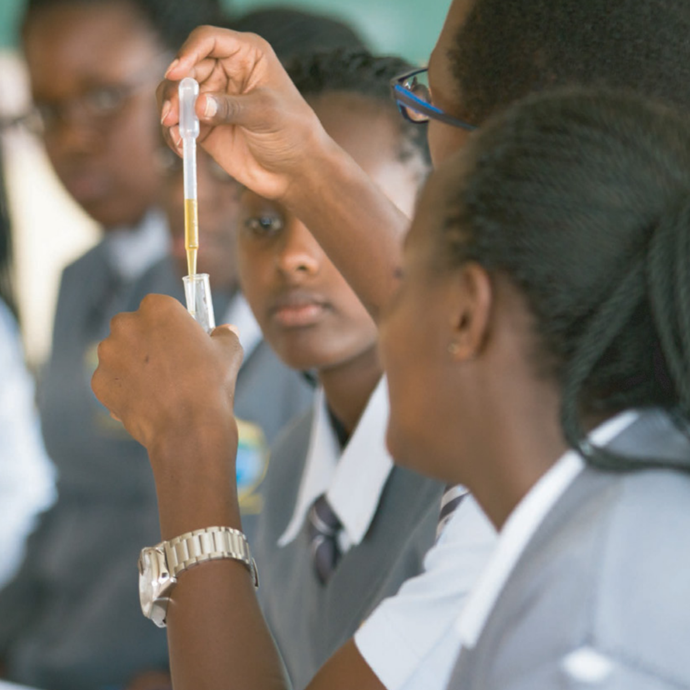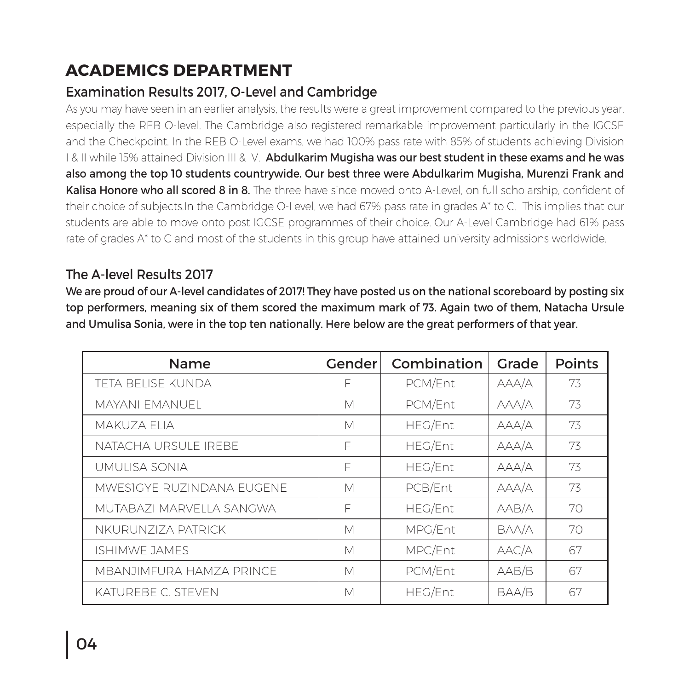# **ACADEMICS DEPARTMENT**

## Examination Results 2017, O-Level and Cambridge

As you may have seen in an earlier analysis, the results were a great improvement compared to the previous year, especially the REB O-level. The Cambridge also registered remarkable improvement particularly in the IGCSE and the Checkpoint. In the REB O-Level exams, we had 100% pass rate with 85% of students achieving Division I & II while 15% attained Division III & IV. Abdulkarim Mugisha was our best student in these exams and he was also among the top 10 students countrywide. Our best three were Abdulkarim Mugisha, Murenzi Frank and Kalisa Honore who all scored 8 in 8. The three have since moved onto A-Level, on full scholarship, confident of their choice of subjects.In the Cambridge O-Level, we had 67% pass rate in grades A\* to C. This implies that our students are able to move onto post IGCSE programmes of their choice. Our A-Level Cambridge had 61% pass rate of grades A\* to C and most of the students in this group have attained university admissions worldwide.

### The A-level Results 2017

We are proud of our A-level candidates of 2017! They have posted us on the national scoreboard by posting six top performers, meaning six of them scored the maximum mark of 73. Again two of them, Natacha Ursule and Umulisa Sonia, were in the top ten nationally. Here below are the great performers of that year.

| <b>Name</b>               | Gender | Combination | Grade | <b>Points</b> |
|---------------------------|--------|-------------|-------|---------------|
| TETA BELISE KUNDA         | F      | PCM/Ent     | AAA/A | 73            |
| <b>MAYANI EMANUEL</b>     | М      | PCM/Ent     | AAA/A | 73            |
| MAKUZA ELIA               | М      | HEG/Ent     | AAA/A | 73            |
| NATACHA URSULE IREBE      | F      | HEG/Ent     | AAA/A | 73            |
| UMULISA SONIA             | F      | HEG/Ent     | AAA/A | 73            |
| MWESIGYE RUZINDANA EUGENE | M      | PCB/Ent     | AAA/A | 73            |
| MUTABAZI MARVELLA SANGWA  | F      | HEG/Ent     | AAB/A | 70            |
| NKURUNZIZA PATRICK        | M      | MPG/Ent     | BAA/A | 70            |
| <b>ISHIMWE JAMES</b>      | М      | MPC/Ent     | AAC/A | 67            |
| MBANJIMFURA HAMZA PRINCE  | М      | PCM/Ent     | AAB/B | 67            |
| KATUREBE C. STEVEN        | М      | HEG/Ent     | BAA/B | 67            |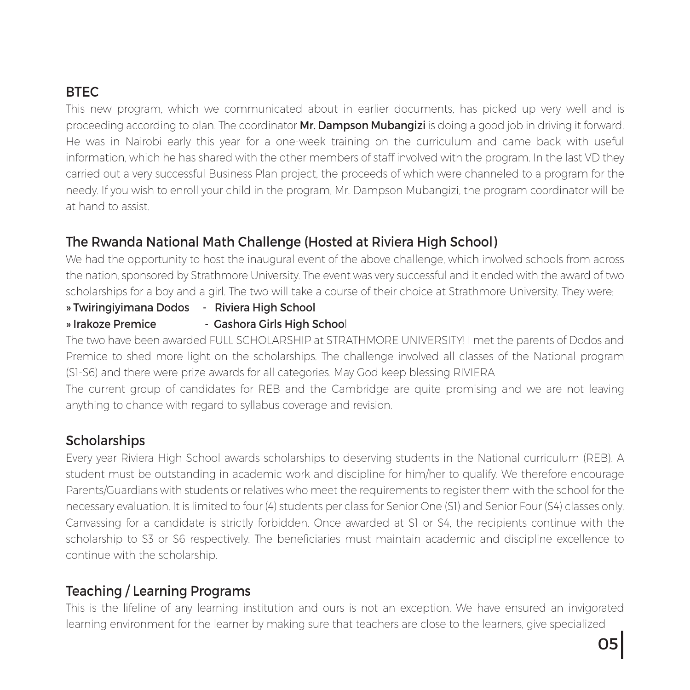## BTEC

This new program, which we communicated about in earlier documents, has picked up very well and is proceeding according to plan. The coordinator Mr. Dampson Mubangizi is doing a good job in driving it forward. He was in Nairobi early this year for a one-week training on the curriculum and came back with useful information, which he has shared with the other members of staff involved with the program. In the last VD they carried out a very successful Business Plan project, the proceeds of which were channeled to a program for the needy. If you wish to enroll your child in the program, Mr. Dampson Mubangizi, the program coordinator will be at hand to assist.

#### The Rwanda National Math Challenge (Hosted at Riviera High School)

We had the opportunity to host the inaugural event of the above challenge, which involved schools from across the nation, sponsored by Strathmore University. The event was very successful and it ended with the award of two scholarships for a boy and a girl. The two will take a course of their choice at Strathmore University. They were;

#### » Twiringiyimana Dodos - Riviera High School

#### » Irakoze Premice - Gashora Girls High School

The two have been awarded FULL SCHOLARSHIP at STRATHMORE UNIVERSITY! I met the parents of Dodos and Premice to shed more light on the scholarships. The challenge involved all classes of the National program (S1-S6) and there were prize awards for all categories. May God keep blessing RIVIERA

The current group of candidates for REB and the Cambridge are quite promising and we are not leaving anything to chance with regard to syllabus coverage and revision.

#### **Scholarships**

Every year Riviera High School awards scholarships to deserving students in the National curriculum (REB). A student must be outstanding in academic work and discipline for him/her to qualify. We therefore encourage Parents/Guardians with students or relatives who meet the requirements to register them with the school for the necessary evaluation. It is limited to four (4) students per class for Senior One (S1) and Senior Four (S4) classes only. Canvassing for a candidate is strictly forbidden. Once awarded at S1 or S4, the recipients continue with the scholarship to S3 or S6 respectively. The beneficiaries must maintain academic and discipline excellence to continue with the scholarship.

#### Teaching / Learning Programs

This is the lifeline of any learning institution and ours is not an exception. We have ensured an invigorated learning environment for the learner by making sure that teachers are close to the learners, give specialized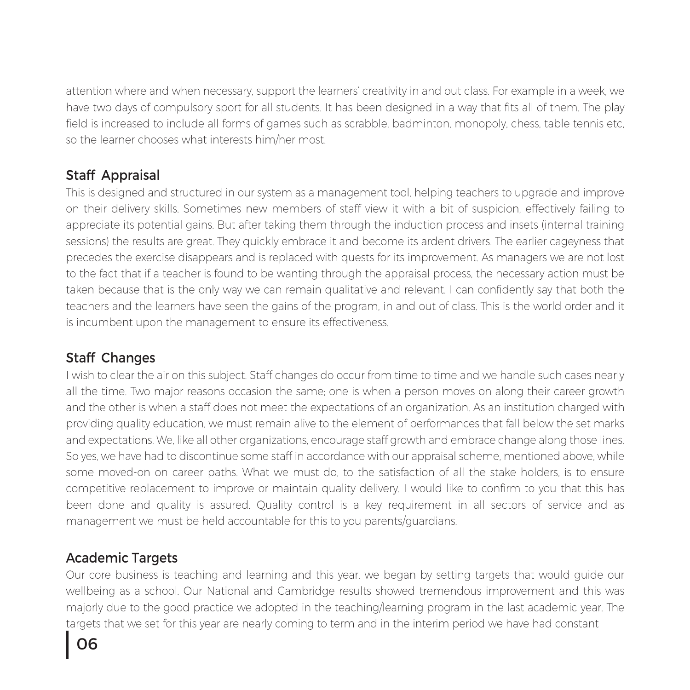attention where and when necessary, support the learners' creativity in and out class. For example in a week, we have two days of compulsory sport for all students. It has been designed in a way that fits all of them. The play field is increased to include all forms of games such as scrabble, badminton, monopoly, chess, table tennis etc, so the learner chooses what interests him/her most.

## Staff Appraisal

This is designed and structured in our system as a management tool, helping teachers to upgrade and improve on their delivery skills. Sometimes new members of staff view it with a bit of suspicion, effectively failing to appreciate its potential gains. But after taking them through the induction process and insets (internal training sessions) the results are great. They quickly embrace it and become its ardent drivers. The earlier cageyness that precedes the exercise disappears and is replaced with quests for its improvement. As managers we are not lost to the fact that if a teacher is found to be wanting through the appraisal process, the necessary action must be taken because that is the only way we can remain qualitative and relevant. I can confidently say that both the teachers and the learners have seen the gains of the program, in and out of class. This is the world order and it is incumbent upon the management to ensure its effectiveness.

#### Staff Changes

I wish to clear the air on this subject. Staff changes do occur from time to time and we handle such cases nearly all the time. Two major reasons occasion the same; one is when a person moves on along their career growth and the other is when a staff does not meet the expectations of an organization. As an institution charged with providing quality education, we must remain alive to the element of performances that fall below the set marks and expectations. We, like all other organizations, encourage staff growth and embrace change along those lines. So yes, we have had to discontinue some staff in accordance with our appraisal scheme, mentioned above, while some moved-on on career paths. What we must do, to the satisfaction of all the stake holders, is to ensure competitive replacement to improve or maintain quality delivery. I would like to confirm to you that this has been done and quality is assured. Quality control is a key requirement in all sectors of service and as management we must be held accountable for this to you parents/guardians.

#### Academic Targets

Our core business is teaching and learning and this year, we began by setting targets that would guide our wellbeing as a school. Our National and Cambridge results showed tremendous improvement and this was majorly due to the good practice we adopted in the teaching/learning program in the last academic year. The targets that we set for this year are nearly coming to term and in the interim period we have had constant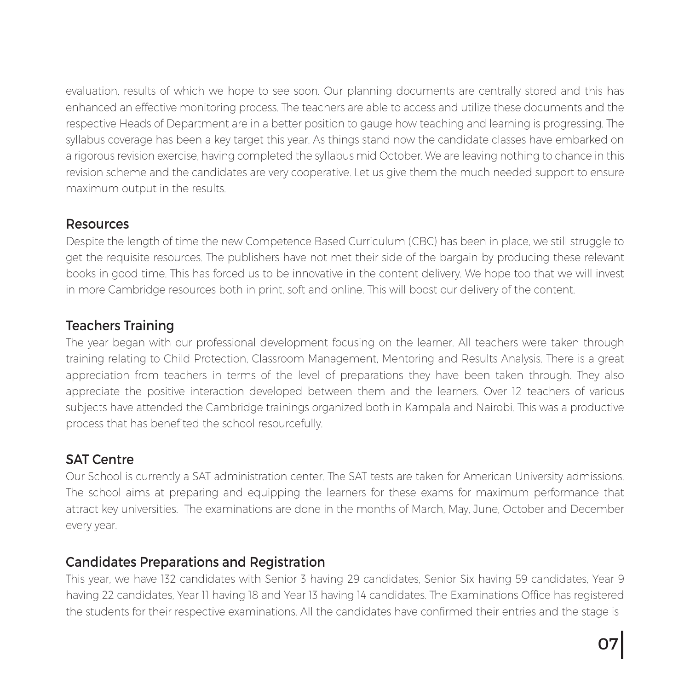evaluation, results of which we hope to see soon. Our planning documents are centrally stored and this has enhanced an effective monitoring process. The teachers are able to access and utilize these documents and the respective Heads of Department are in a better position to gauge how teaching and learning is progressing. The syllabus coverage has been a key target this year. As things stand now the candidate classes have embarked on a rigorous revision exercise, having completed the syllabus mid October. We are leaving nothing to chance in this revision scheme and the candidates are very cooperative. Let us give them the much needed support to ensure maximum output in the results.

#### Resources

Despite the length of time the new Competence Based Curriculum (CBC) has been in place, we still struggle to get the requisite resources. The publishers have not met their side of the bargain by producing these relevant books in good time. This has forced us to be innovative in the content delivery. We hope too that we will invest in more Cambridge resources both in print, soft and online. This will boost our delivery of the content.

#### Teachers Training

The year began with our professional development focusing on the learner. All teachers were taken through training relating to Child Protection, Classroom Management, Mentoring and Results Analysis. There is a great appreciation from teachers in terms of the level of preparations they have been taken through. They also appreciate the positive interaction developed between them and the learners. Over 12 teachers of various subjects have attended the Cambridge trainings organized both in Kampala and Nairobi. This was a productive process that has benefited the school resourcefully.

#### SAT Centre

Our School is currently a SAT administration center. The SAT tests are taken for American University admissions. The school aims at preparing and equipping the learners for these exams for maximum performance that attract key universities. The examinations are done in the months of March, May, June, October and December every year.

#### Candidates Preparations and Registration

This year, we have 132 candidates with Senior 3 having 29 candidates, Senior Six having 59 candidates, Year 9 having 22 candidates, Year 11 having 18 and Year 13 having 14 candidates. The Examinations Office has registered the students for their respective examinations. All the candidates have confirmed their entries and the stage is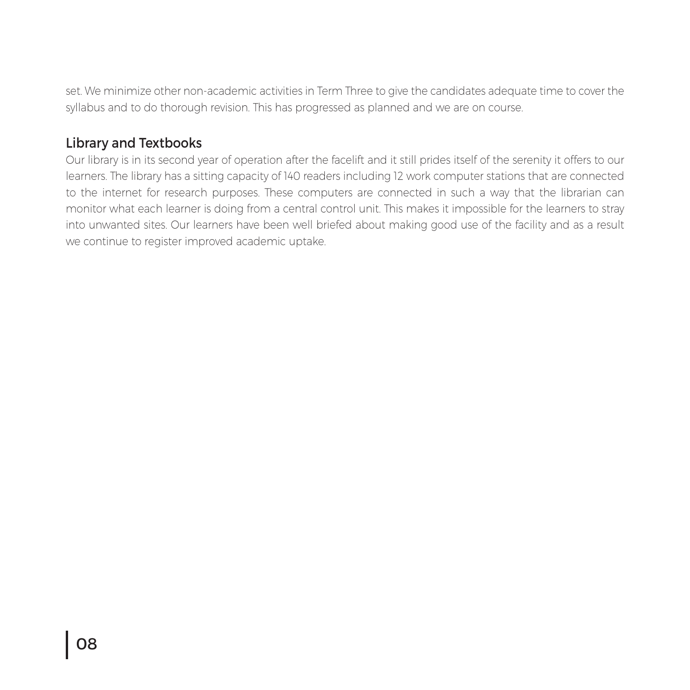set. We minimize other non-academic activities in Term Three to give the candidates adequate time to cover the syllabus and to do thorough revision. This has progressed as planned and we are on course.

## Library and Textbooks

Our library is in its second year of operation after the facelift and it still prides itself of the serenity it offers to our learners. The library has a sitting capacity of 140 readers including 12 work computer stations that are connected to the internet for research purposes. These computers are connected in such a way that the librarian can monitor what each learner is doing from a central control unit. This makes it impossible for the learners to stray into unwanted sites. Our learners have been well briefed about making good use of the facility and as a result we continue to register improved academic uptake.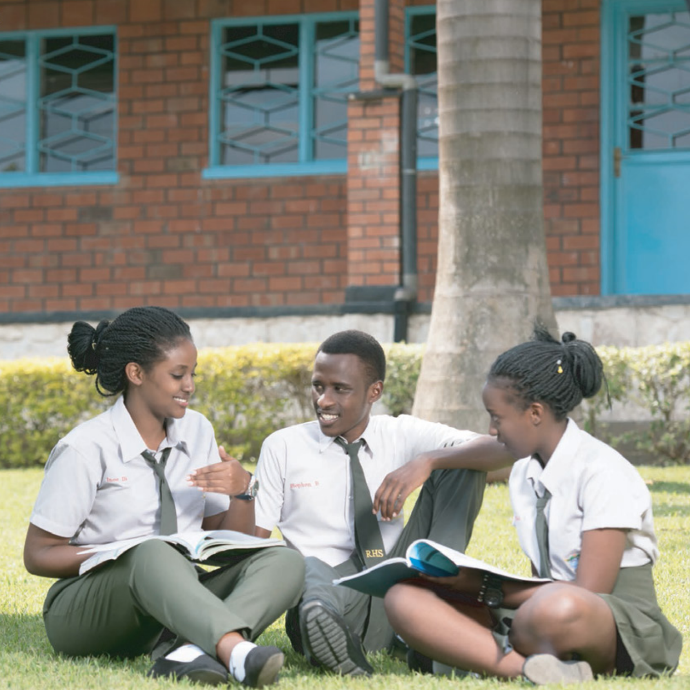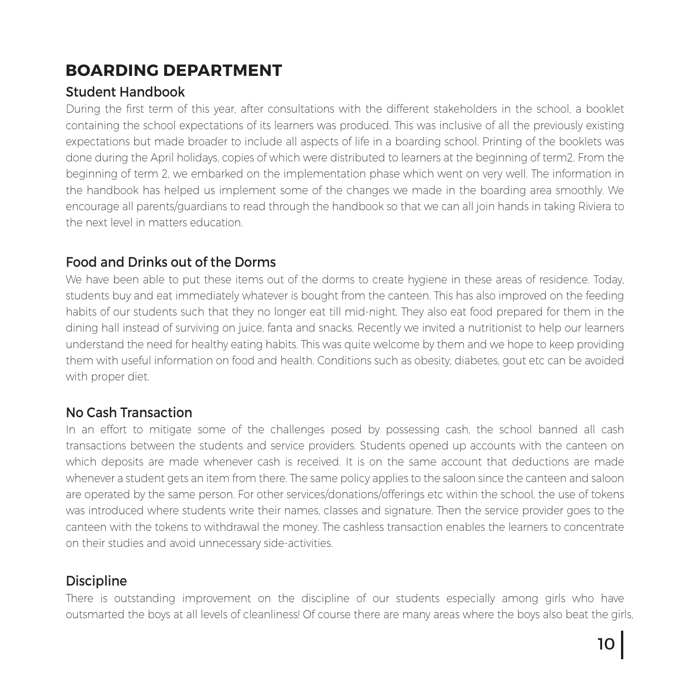# **BOARDING DEPARTMENT**

### Student Handbook

During the first term of this year, after consultations with the different stakeholders in the school, a booklet containing the school expectations of its learners was produced. This was inclusive of all the previously existing expectations but made broader to include all aspects of life in a boarding school. Printing of the booklets was done during the April holidays, copies of which were distributed to learners at the beginning of term2. From the beginning of term 2, we embarked on the implementation phase which went on very well. The information in the handbook has helped us implement some of the changes we made in the boarding area smoothly. We encourage all parents/guardians to read through the handbook so that we can all join hands in taking Riviera to the next level in matters education.

### Food and Drinks out of the Dorms

We have been able to put these items out of the dorms to create hygiene in these areas of residence. Today, students buy and eat immediately whatever is bought from the canteen. This has also improved on the feeding habits of our students such that they no longer eat till mid-night. They also eat food prepared for them in the dining hall instead of surviving on juice, fanta and snacks. Recently we invited a nutritionist to help our learners understand the need for healthy eating habits. This was quite welcome by them and we hope to keep providing them with useful information on food and health. Conditions such as obesity, diabetes, gout etc can be avoided with proper diet.

#### No Cash Transaction

In an effort to mitigate some of the challenges posed by possessing cash, the school banned all cash transactions between the students and service providers. Students opened up accounts with the canteen on which deposits are made whenever cash is received. It is on the same account that deductions are made whenever a student gets an item from there. The same policy applies to the saloon since the canteen and saloon are operated by the same person. For other services/donations/offerings etc within the school, the use of tokens was introduced where students write their names, classes and signature. Then the service provider goes to the canteen with the tokens to withdrawal the money. The cashless transaction enables the learners to concentrate on their studies and avoid unnecessary side-activities.

#### **Discipline**

There is outstanding improvement on the discipline of our students especially among girls who have outsmarted the boys at all levels of cleanliness! Of course there are many areas where the boys also beat the girls,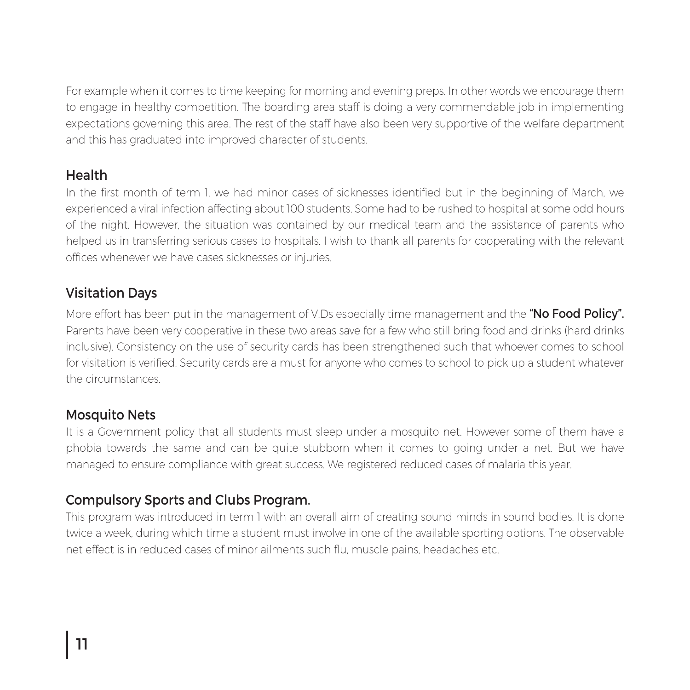For example when it comes to time keeping for morning and evening preps. In other words we encourage them to engage in healthy competition. The boarding area staff is doing a very commendable job in implementing expectations governing this area. The rest of the staff have also been very supportive of the welfare department and this has graduated into improved character of students.

#### Health

In the first month of term 1, we had minor cases of sicknesses identified but in the beginning of March, we experienced a viral infection affecting about 100 students. Some had to be rushed to hospital at some odd hours of the night. However, the situation was contained by our medical team and the assistance of parents who helped us in transferring serious cases to hospitals. I wish to thank all parents for cooperating with the relevant offices whenever we have cases sicknesses or injuries.

## Visitation Days

More effort has been put in the management of V.Ds especially time management and the "No Food Policy". Parents have been very cooperative in these two areas save for a few who still bring food and drinks (hard drinks inclusive). Consistency on the use of security cards has been strengthened such that whoever comes to school for visitation is verified. Security cards are a must for anyone who comes to school to pick up a student whatever the circumstances.

#### Mosquito Nets

It is a Government policy that all students must sleep under a mosquito net. However some of them have a phobia towards the same and can be quite stubborn when it comes to going under a net. But we have managed to ensure compliance with great success. We registered reduced cases of malaria this year.

## Compulsory Sports and Clubs Program.

This program was introduced in term 1 with an overall aim of creating sound minds in sound bodies. It is done twice a week, during which time a student must involve in one of the available sporting options. The observable net effect is in reduced cases of minor ailments such flu, muscle pains, headaches etc.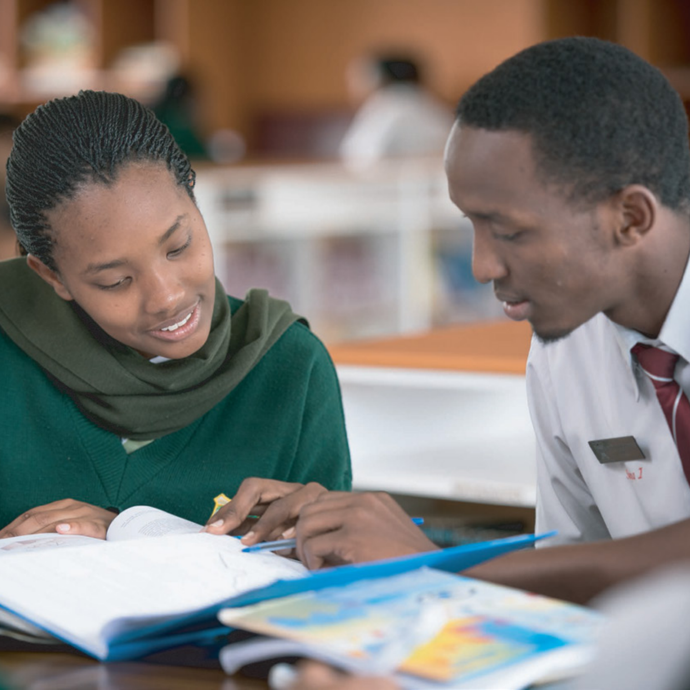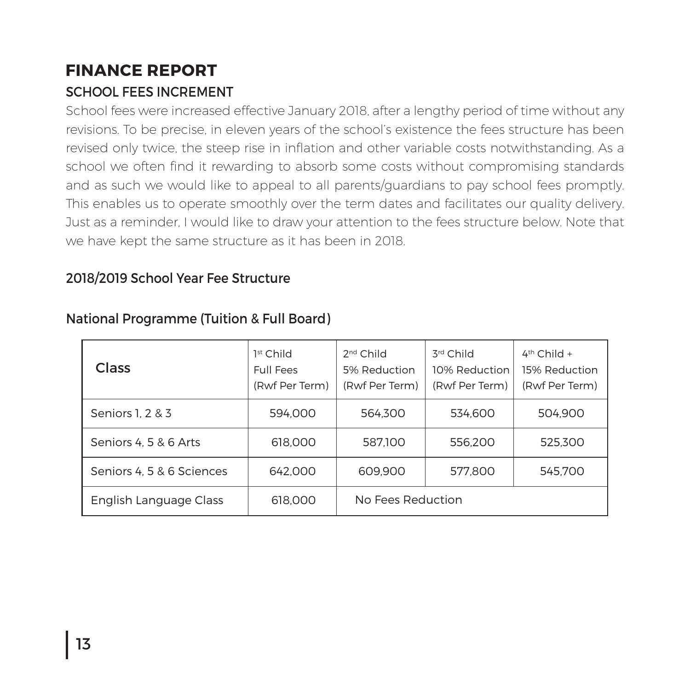# SCHOOL FEES INCREMENT **FINANCE REPORT**

School fees were increased effective January 2018, after a lengthy period of time without any revisions. To be precise, in eleven years of the school's existence the fees structure has been revised only twice, the steep rise in inflation and other variable costs notwithstanding. As a school we often find it rewarding to absorb some costs without compromising standards and as such we would like to appeal to all parents/guardians to pay school fees promptly. This enables us to operate smoothly over the term dates and facilitates our quality delivery. Just as a reminder, I would like to draw your attention to the fees structure below. Note that we have kept the same structure as it has been in 2018.

#### 2018/2019 School Year Fee Structure

| Class                     | 1 <sup>st</sup> Child<br><b>Full Fees</b><br>(Rwf Per Term) | $2nd$ Child<br>5% Reduction<br>(Rwf Per Term) | 3rd Child<br>10% Reduction<br>(Rwf Per Term) | $4th$ Child +<br>15% Reduction<br>(Rwf Per Term) |
|---------------------------|-------------------------------------------------------------|-----------------------------------------------|----------------------------------------------|--------------------------------------------------|
| Seniors 1, 2 & 3          | 594.000                                                     | 564,300                                       | 534,600                                      | 504.900                                          |
| Seniors 4, 5 & 6 Arts     | 618,000                                                     | 587.100                                       | 556,200                                      | 525.300                                          |
| Seniors 4, 5 & 6 Sciences | 642.000                                                     | 609,900                                       | 577,800                                      | 545.700                                          |
| English Language Class    | 618,000                                                     | No Fees Reduction                             |                                              |                                                  |

#### National Programme (Tuition & Full Board)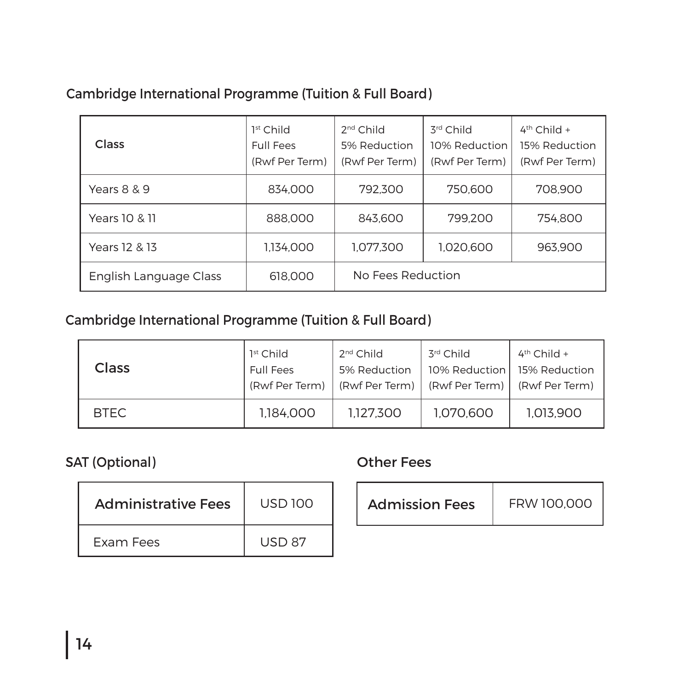## Cambridge International Programme (Tuition & Full Board)

| Class                  | $1st$ Child<br><b>Full Fees</b><br>(Rwf Per Term) | $2nd$ Child<br>5% Reduction<br>(Rwf Per Term) | 3rd Child<br>10% Reduction<br>(Rwf Per Term) | $4th$ Child +<br>15% Reduction<br>(Rwf Per Term) |
|------------------------|---------------------------------------------------|-----------------------------------------------|----------------------------------------------|--------------------------------------------------|
| Years 8 & 9            | 834.000                                           | 792.300                                       | 750,600                                      | 708.900                                          |
| Years 10 & 11          | 888,000                                           | 843.600                                       | 799.200                                      | 754,800                                          |
| Years 12 & 13          | 1.134.000                                         | 1.077.300                                     | 1.020.600                                    | 963.900                                          |
| English Language Class | 618,000                                           | No Fees Reduction                             |                                              |                                                  |

# Cambridge International Programme (Tuition & Full Board)

| Class       | 1 <sup>st</sup> Child<br><b>Full Fees</b><br>(Rwf Per Term) | 2 <sup>nd</sup> Child<br>5% Reduction | 3rd Child<br>  (Rwf Per Term)   (Rwf Per Term) | $4th$ Child +<br>10% Reduction 15% Reduction<br>Rwf Per Term) |
|-------------|-------------------------------------------------------------|---------------------------------------|------------------------------------------------|---------------------------------------------------------------|
| <b>BTEC</b> | 1.184.000                                                   | 1,127,300                             | 1,070,600                                      | 1,013,900                                                     |

SAT (Optional)

## Other Fees

| <b>Administrative Fees</b> | USD 100 |
|----------------------------|---------|
| <b>Exam Fees</b>           | USD 87  |

| <b>Admission Fees</b> | FRW 100,000 |
|-----------------------|-------------|
|-----------------------|-------------|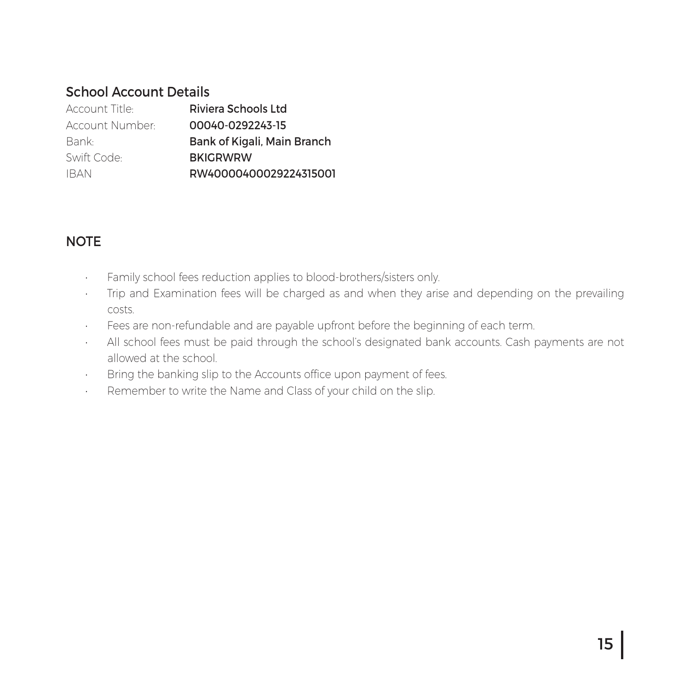#### School Account Details

| Account Title:    | Riviera Schools Ltd         |
|-------------------|-----------------------------|
| Account Number:   | 00040-0292243-15            |
| Bank <sub>t</sub> | Bank of Kigali, Main Branch |
| Swift Code        | <b>BKIGRWRW</b>             |
| <b>IBAN</b>       | RW40000400029224315001      |

# **NOTE**

- Family school fees reduction applies to blood-brothers/sisters only.
- Trip and Examination fees will be charged as and when they arise and depending on the prevailing costs.
- Fees are non-refundable and are payable upfront before the beginning of each term.
- All school fees must be paid through the school's designated bank accounts. Cash payments are not allowed at the school.
- Bring the banking slip to the Accounts office upon payment of fees.
- Remember to write the Name and Class of your child on the slip.